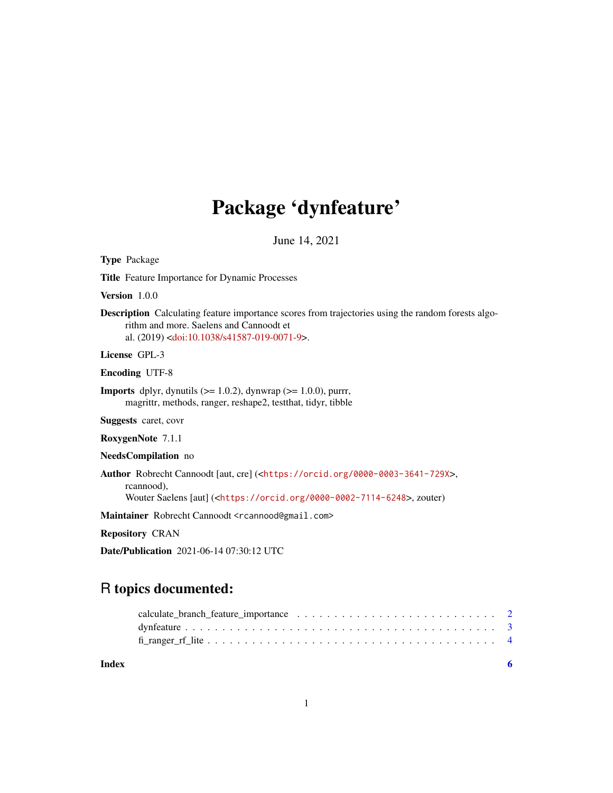## Package 'dynfeature'

June 14, 2021

<span id="page-0-0"></span>Type Package

Title Feature Importance for Dynamic Processes

Version 1.0.0

Description Calculating feature importance scores from trajectories using the random forests algorithm and more. Saelens and Cannoodt et al. (2019) [<doi:10.1038/s41587-019-0071-9>](https://doi.org/10.1038/s41587-019-0071-9).

License GPL-3

Encoding UTF-8

**Imports** dplyr, dynutils  $(>= 1.0.2)$ , dynwrap  $(>= 1.0.0)$ , purrr, magrittr, methods, ranger, reshape2, testthat, tidyr, tibble

Suggests caret, covr

RoxygenNote 7.1.1

NeedsCompilation no

Author Robrecht Cannoodt [aut, cre] (<<https://orcid.org/0000-0003-3641-729X>>, rcannood),

Wouter Saelens [aut] (<<https://orcid.org/0000-0002-7114-6248>>, zouter)

Maintainer Robrecht Cannoodt <rcannood@gmail.com>

Repository CRAN

Date/Publication 2021-06-14 07:30:12 UTC

### R topics documented:

**Index** [6](#page-5-0) **6**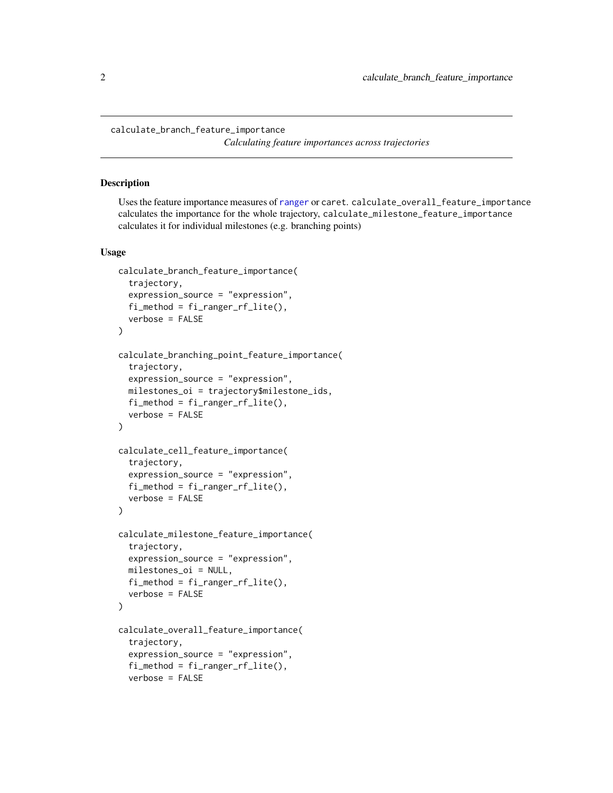<span id="page-1-0"></span>calculate\_branch\_feature\_importance

*Calculating feature importances across trajectories*

#### Description

Uses the feature importance measures of [ranger](#page-0-0) or caret. calculate\_overall\_feature\_importance calculates the importance for the whole trajectory, calculate\_milestone\_feature\_importance calculates it for individual milestones (e.g. branching points)

#### Usage

```
calculate_branch_feature_importance(
  trajectory,
  expression_source = "expression",
  fi_method = fi_ranger_rf_lite(),
  verbose = FALSE
\lambdacalculate_branching_point_feature_importance(
  trajectory,
  expression_source = "expression",
  milestones_oi = trajectory$milestone_ids,
  fi_method = fi_ranger_rf_lite(),verbose = FALSE
\lambdacalculate_cell_feature_importance(
  trajectory,
  expression_source = "expression",
  fi_method = fi_ranger_rf_lite(),
  verbose = FALSE
\lambdacalculate_milestone_feature_importance(
  trajectory,
  expression_source = "expression",
  milestones_oi = NULL,
  fi_method = fi_ranger_rf_lite(),
  verbose = FALSE
\mathcal{L}calculate_overall_feature_importance(
  trajectory,
  expression_source = "expression",
  fi_method = fi_ranger_rf_lite(),
  verbose = FALSE
```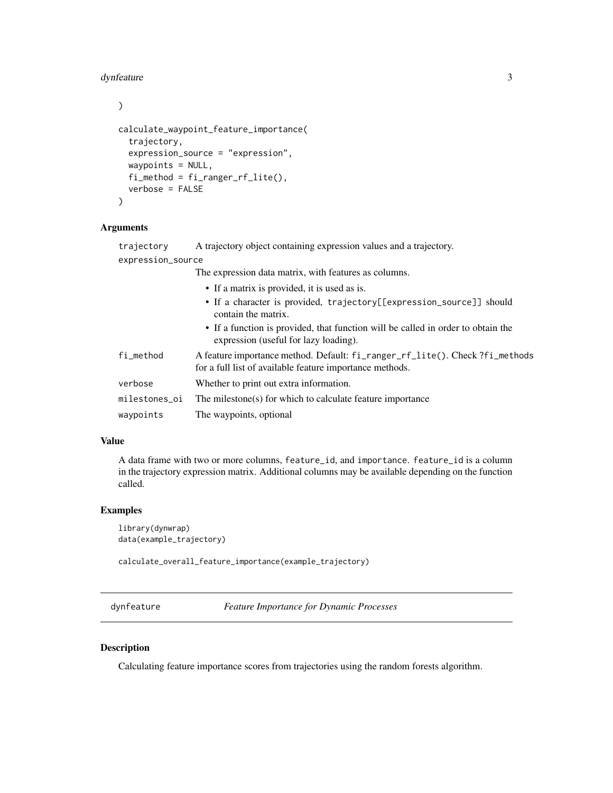#### <span id="page-2-0"></span>dynfeature 3

 $\mathcal{L}$ 

```
calculate_waypoint_feature_importance(
  trajectory,
  expression_source = "expression",
 waypoints = NULL,
  fi_method = fi_ranger_rf_lite(),
  verbose = FALSE
)
```
#### Arguments

| trajectory | A trajectory object containing expression values and a trajectory. |  |  |  |
|------------|--------------------------------------------------------------------|--|--|--|
|            |                                                                    |  |  |  |

| expression_source |  |  |
|-------------------|--|--|
|                   |  |  |

The expression data matrix, with features as columns.

- If a matrix is provided, it is used as is.
- If a character is provided, trajectory[[expression\_source]] should contain the matrix.
- If a function is provided, that function will be called in order to obtain the expression (useful for lazy loading).

| fi_method | A feature importance method. Default: fi_ranger_rf_lite(). Check?fi_methods<br>for a full list of available feature importance methods. |
|-----------|-----------------------------------------------------------------------------------------------------------------------------------------|
| verbose   | Whether to print out extra information.                                                                                                 |
|           | milestones oi The milestone(s) for which to calculate feature importance                                                                |
| waypoints | The waypoints, optional                                                                                                                 |

#### Value

A data frame with two or more columns, feature\_id, and importance. feature\_id is a column in the trajectory expression matrix. Additional columns may be available depending on the function called.

#### Examples

```
library(dynwrap)
data(example_trajectory)
```
calculate\_overall\_feature\_importance(example\_trajectory)

dynfeature *Feature Importance for Dynamic Processes*

#### Description

Calculating feature importance scores from trajectories using the random forests algorithm.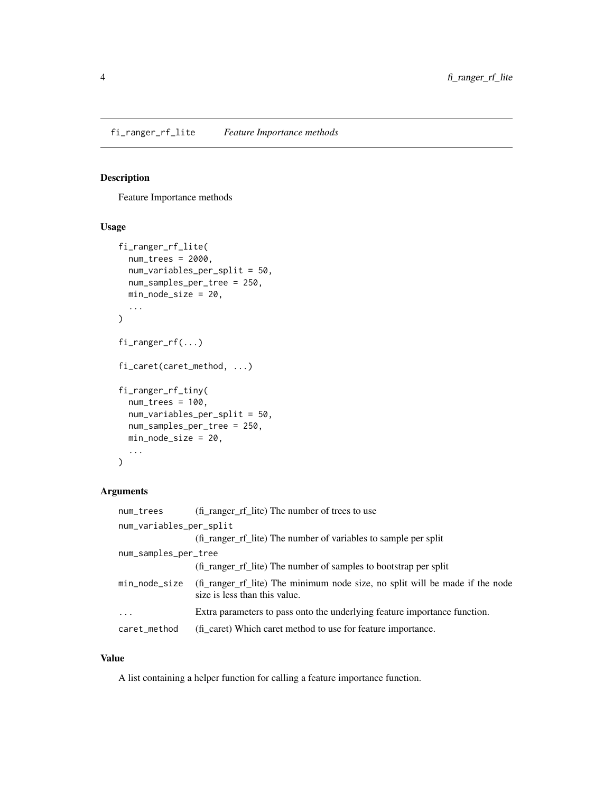#### <span id="page-3-0"></span>Description

Feature Importance methods

#### Usage

```
fi_ranger_rf_lite(
  num_trees = 2000,
 num_variables_per_split = 50,
 num_samples_per_tree = 250,
 min_node_size = 20,
  ...
)
fi_ranger_rf(...)
fi_caret(caret_method, ...)
fi_ranger_rf_tiny(
 num_trees = 100,
 num_variables_per_split = 50,
 num_samples_per_tree = 250,
 min_node_size = 20,
  ...
)
```
#### Arguments

| num_trees               | (fi_ranger_rf_lite) The number of trees to use                                                                |
|-------------------------|---------------------------------------------------------------------------------------------------------------|
| num_variables_per_split |                                                                                                               |
|                         | (fi_ranger_rf_lite) The number of variables to sample per split                                               |
| num_samples_per_tree    |                                                                                                               |
|                         | (fi_ranger_rf_lite) The number of samples to bootstrap per split                                              |
| min_node_size           | (fi_ranger_rf_lite) The minimum node size, no split will be made if the node<br>size is less than this value. |
| $\ddotsc$               | Extra parameters to pass onto the underlying feature importance function.                                     |
| caret_method            | (fi caret) Which caret method to use for feature importance.                                                  |

#### Value

A list containing a helper function for calling a feature importance function.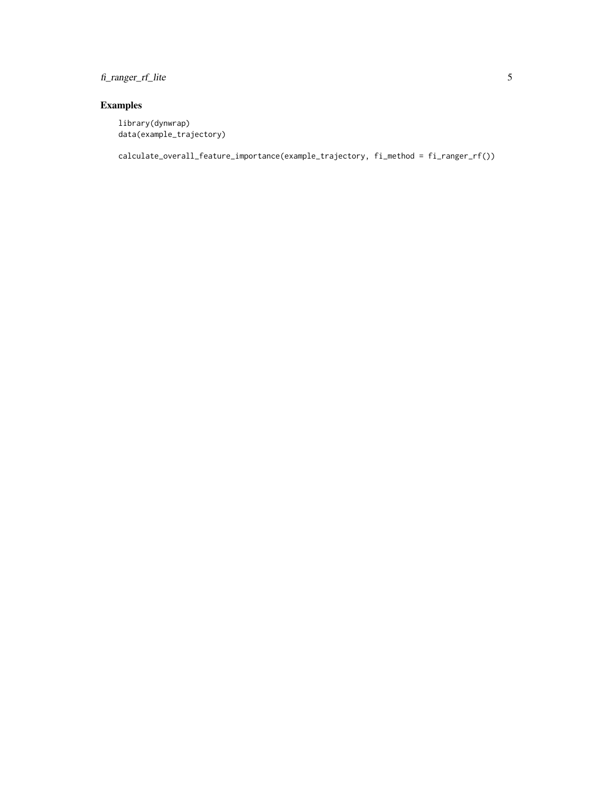fi\_ranger\_rf\_lite 5

#### Examples

library(dynwrap) data(example\_trajectory)

calculate\_overall\_feature\_importance(example\_trajectory, fi\_method = fi\_ranger\_rf())